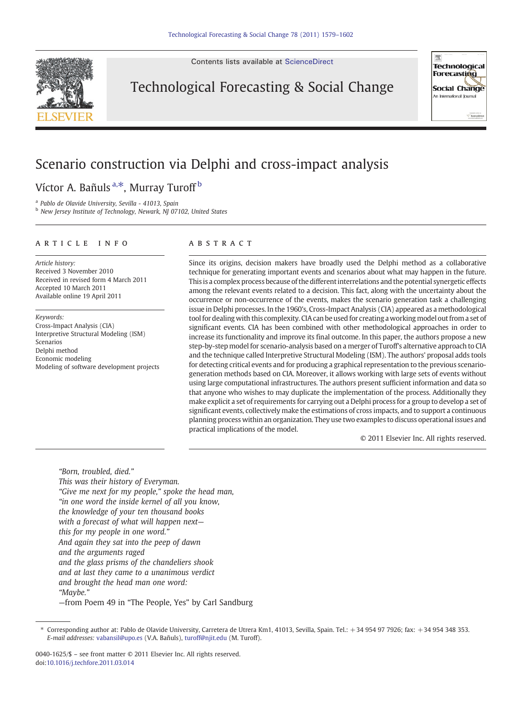Contents lists available at [ScienceDirect](http://www.sciencedirect.com/science/journal/00401625)



Technological Forecasting & Social Change



## Scenario construction via Delphi and cross-impact analysis

## Víctor A. Bañuls<sup>a,\*</sup>, Murray Turoff<sup>b</sup>

<sup>a</sup> Pablo de Olavide University, Sevilla - 41013, Spain

<sup>b</sup> New Jersey Institute of Technology, Newark, NJ 07102, United States

### article info abstract

Article history: Received 3 November 2010 Received in revised form 4 March 2011 Accepted 10 March 2011 Available online 19 April 2011

Keywords: Cross-Impact Analysis (CIA) Interpretive Structural Modeling (ISM) Scenarios Delphi method Economic modeling Modeling of software development projects

Since its origins, decision makers have broadly used the Delphi method as a collaborative technique for generating important events and scenarios about what may happen in the future. This is a complex process because of the different interrelations and the potential synergetic effects among the relevant events related to a decision. This fact, along with the uncertainty about the occurrence or non-occurrence of the events, makes the scenario generation task a challenging issue in Delphi processes. In the 1960's, Cross-Impact Analysis (CIA) appeared as a methodological tool for dealing with this complexity. CIA can be used for creating a working model out from a set of significant events. CIA has been combined with other methodological approaches in order to increase its functionality and improve its final outcome. In this paper, the authors propose a new step-by-step model for scenario-analysis based on a merger of Turoff's alternative approach to CIA and the technique called Interpretive Structural Modeling (ISM). The authors' proposal adds tools for detecting critical events and for producing a graphical representation to the previous scenariogeneration methods based on CIA. Moreover, it allows working with large sets of events without using large computational infrastructures. The authors present sufficient information and data so that anyone who wishes to may duplicate the implementation of the process. Additionally they make explicit a set of requirements for carrying out a Delphi process for a group to develop a set of significant events, collectively make the estimations of cross impacts, and to support a continuous planning process within an organization. They use two examples to discuss operational issues and practical implications of the model.

© 2011 Elsevier Inc. All rights reserved.

"Born, troubled, died." This was their history of Everyman. "Give me next for my people," spoke the head man, "in one word the inside kernel of all you know, the knowledge of your ten thousand books with a forecast of what will happen nextthis for my people in one word." And again they sat into the peep of dawn and the arguments raged and the glass prisms of the chandeliers shook and at last they came to a unanimous verdict and brought the head man one word: "Maybe." —from Poem 49 in "The People, Yes" by Carl Sandburg

<sup>⁎</sup> Corresponding author at: Pablo de Olavide University, Carretera de Utrera Km1, 41013, Sevilla, Spain. Tel.: +34 954 97 7926; fax: +34 954 348 353. E-mail addresses: [vabansil@upo.es](mailto:vabansil@upo.es) (V.A. Bañuls), [turoff@njit.edu](mailto:turoff@njit.edu) (M. Turoff).

<sup>0040-1625/\$</sup> – see front matter © 2011 Elsevier Inc. All rights reserved. doi[:10.1016/j.techfore.2011.03.014](http://dx.doi.org/10.1016/j.techfore.2011.03.014)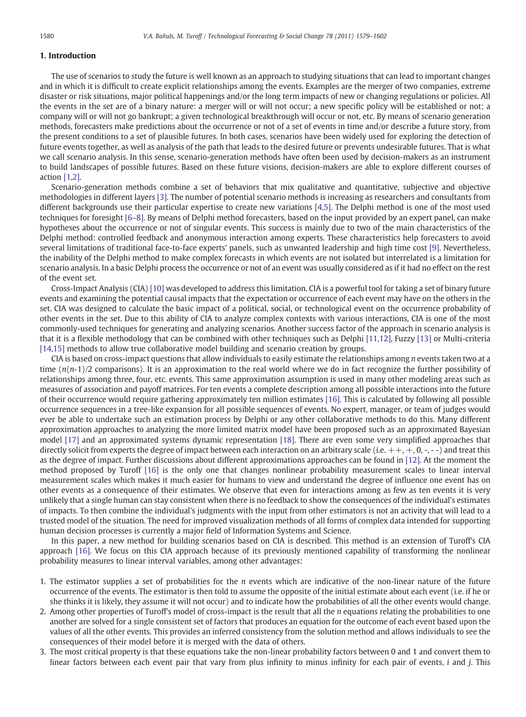### 1. Introduction

The use of scenarios to study the future is well known as an approach to studying situations that can lead to important changes and in which it is difficult to create explicit relationships among the events. Examples are the merger of two companies, extreme disaster or risk situations, major political happenings and/or the long term impacts of new or changing regulations or policies. All the events in the set are of a binary nature: a merger will or will not occur; a new specific policy will be established or not; a company will or will not go bankrupt; a given technological breakthrough will occur or not, etc. By means of scenario generation methods, forecasters make predictions about the occurrence or not of a set of events in time and/or describe a future story, from the present conditions to a set of plausible futures. In both cases, scenarios have been widely used for exploring the detection of future events together, as well as analysis of the path that leads to the desired future or prevents undesirable futures. That is what we call scenario analysis. In this sense, scenario-generation methods have often been used by decision-makers as an instrument to build landscapes of possible futures. Based on these future visions, decision-makers are able to explore different courses of action [\[1,2\]](#page--1-0).

Scenario-generation methods combine a set of behaviors that mix qualitative and quantitative, subjective and objective methodologies in different layers [\[3\].](#page--1-0) The number of potential scenario methods is increasing as researchers and consultants from different backgrounds use their particular expertise to create new variations [\[4,5\]](#page--1-0). The Delphi method is one of the most used techniques for foresight [6–[8\].](#page--1-0) By means of Delphi method forecasters, based on the input provided by an expert panel, can make hypotheses about the occurrence or not of singular events. This success is mainly due to two of the main characteristics of the Delphi method: controlled feedback and anonymous interaction among experts. These characteristics help forecasters to avoid several limitations of traditional face-to-face experts' panels, such as unwanted leadership and high time cost [\[9\].](#page--1-0) Nevertheless, the inability of the Delphi method to make complex forecasts in which events are not isolated but interrelated is a limitation for scenario analysis. In a basic Delphi process the occurrence or not of an event was usually considered as if it had no effect on the rest of the event set.

Cross-Impact Analysis (CIA) [\[10\]](#page--1-0) was developed to address this limitation. CIA is a powerful tool for taking a set of binary future events and examining the potential causal impacts that the expectation or occurrence of each event may have on the others in the set. CIA was designed to calculate the basic impact of a political, social, or technological event on the occurrence probability of other events in the set. Due to this ability of CIA to analyze complex contexts with various interactions, CIA is one of the most commonly-used techniques for generating and analyzing scenarios. Another success factor of the approach in scenario analysis is that it is a flexible methodology that can be combined with other techniques such as Delphi [\[11,12\]](#page--1-0), Fuzzy [\[13\]](#page--1-0) or Multi-criteria [\[14,15\]](#page--1-0) methods to allow true collaborative model building and scenario creation by groups.

CIA is based on cross-impact questions that allow individuals to easily estimate the relationships among n events taken two at a time  $(n(n-1)/2$  comparisons). It is an approximation to the real world where we do in fact recognize the further possibility of relationships among three, four, etc. events. This same approximation assumption is used in many other modeling areas such as measures of association and payoff matrices. For ten events a complete description among all possible interactions into the future of their occurrence would require gathering approximately ten million estimates [\[16\].](#page--1-0) This is calculated by following all possible occurrence sequences in a tree-like expansion for all possible sequences of events. No expert, manager, or team of judges would ever be able to undertake such an estimation process by Delphi or any other collaborative methods to do this. Many different approximation approaches to analyzing the more limited matrix model have been proposed such as an approximated Bayesian model [\[17\]](#page--1-0) and an approximated systems dynamic representation [\[18\].](#page--1-0) There are even some very simplified approaches that directly solicit from experts the degree of impact between each interaction on an arbitrary scale (i.e.  $++$ ,  $+$ ,  $0$ ,  $-$ ,  $-$ ) and treat this as the degree of impact. Further discussions about different approximations approaches can be found in [\[12\]](#page--1-0). At the moment the method proposed by Turoff [\[16\]](#page--1-0) is the only one that changes nonlinear probability measurement scales to linear interval measurement scales which makes it much easier for humans to view and understand the degree of influence one event has on other events as a consequence of their estimates. We observe that even for interactions among as few as ten events it is very unlikely that a single human can stay consistent when there is no feedback to show the consequences of the individual's estimates of impacts. To then combine the individual's judgments with the input from other estimators is not an activity that will lead to a trusted model of the situation. The need for improved visualization methods of all forms of complex data intended for supporting human decision processes is currently a major field of Information Systems and Science.

In this paper, a new method for building scenarios based on CIA is described. This method is an extension of Turoff's CIA approach [\[16\]](#page--1-0). We focus on this CIA approach because of its previously mentioned capability of transforming the nonlinear probability measures to linear interval variables, among other advantages:

- 1. The estimator supplies a set of probabilities for the  $n$  events which are indicative of the non-linear nature of the future occurrence of the events. The estimator is then told to assume the opposite of the initial estimate about each event (i.e. if he or she thinks it is likely, they assume it will not occur) and to indicate how the probabilities of all the other events would change.
- 2. Among other properties of Turoff's model of cross-impact is the result that all the  $n$  equations relating the probabilities to one another are solved for a single consistent set of factors that produces an equation for the outcome of each event based upon the values of all the other events. This provides an inferred consistency from the solution method and allows individuals to see the consequences of their model before it is merged with the data of others.
- 3. The most critical property is that these equations take the non-linear probability factors between 0 and 1 and convert them to linear factors between each event pair that vary from plus infinity to minus infinity for each pair of events, *i* and *j*. This